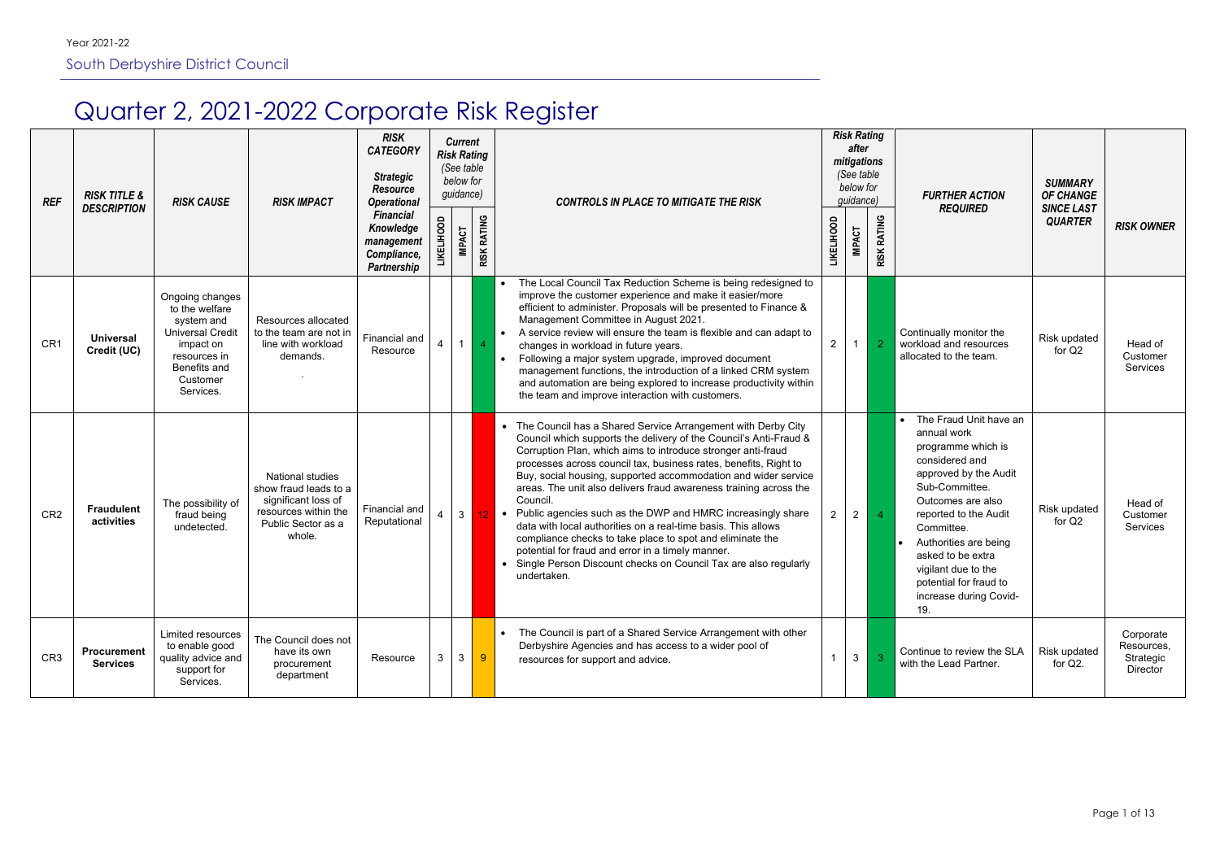# Quarter 2, 2021-2022 Corporate Risk Register

| <b>REF</b>      | <b>RISK TITLE &amp;</b><br><b>DESCRIPTION</b> | <b>RISK CAUSE</b>                                                                                                                                | <b>RISK IMPACT</b>                                                                                                              | <b>RISK</b><br><b>CATEGORY</b><br><b>Strategic</b><br><b>Resource</b><br><b>Operational</b><br><b>Financial</b><br>Knowledge<br>management<br>Compliance,<br>Partnership | <b>IKELIHOOD</b> | <b>Current</b><br><b>Risk Rating</b><br>(See table<br>below for<br>guidance)<br><b>IMPACT</b> | <b>RISK RATING</b> | <b>CONTROLS IN PLACE TO MITIGATE THE RISK</b>                                                                                                                                                                                                                                                                                                                                                                                                                                                                                                                                                                                                                                                                                                                               | <b>LIKELIHOOD</b> | <b>Risk Rating</b><br>after<br>mitigations<br>(See table<br>below for<br>guidance)<br><b>IMPACT</b> | <b>RISK RATING</b> | <b>FURTHER ACTION</b><br><b>REQUIRED</b>                                                                                                                                                                                                                                                                                          | <b>SUMMARY</b><br><b>OF CHANGE</b><br><b>SINCE LAST</b><br><b>QUARTER</b> | <b>RISK OWNER</b>                                |
|-----------------|-----------------------------------------------|--------------------------------------------------------------------------------------------------------------------------------------------------|---------------------------------------------------------------------------------------------------------------------------------|--------------------------------------------------------------------------------------------------------------------------------------------------------------------------|------------------|-----------------------------------------------------------------------------------------------|--------------------|-----------------------------------------------------------------------------------------------------------------------------------------------------------------------------------------------------------------------------------------------------------------------------------------------------------------------------------------------------------------------------------------------------------------------------------------------------------------------------------------------------------------------------------------------------------------------------------------------------------------------------------------------------------------------------------------------------------------------------------------------------------------------------|-------------------|-----------------------------------------------------------------------------------------------------|--------------------|-----------------------------------------------------------------------------------------------------------------------------------------------------------------------------------------------------------------------------------------------------------------------------------------------------------------------------------|---------------------------------------------------------------------------|--------------------------------------------------|
| CR <sub>1</sub> | <b>Universal</b><br>Credit (UC)               | Ongoing changes<br>to the welfare<br>system and<br><b>Universal Credit</b><br>impact on<br>resources in<br>Benefits and<br>Customer<br>Services. | Resources allocated<br>to the team are not in<br>line with workload<br>demands.                                                 | Financial and<br>Resource                                                                                                                                                |                  | 1 <sup>1</sup>                                                                                | $\overline{4}$     | The Local Council Tax Reduction Scheme is being redesigned to<br>improve the customer experience and make it easier/more<br>efficient to administer. Proposals will be presented to Finance &<br>Management Committee in August 2021.<br>A service review will ensure the team is flexible and can adapt to<br>changes in workload in future years.<br>Following a major system upgrade, improved document<br>management functions, the introduction of a linked CRM system<br>and automation are being explored to increase productivity within<br>the team and improve interaction with customers.                                                                                                                                                                        | $\overline{2}$    |                                                                                                     | $\overline{2}$     | Continually monitor the<br>workload and resources<br>allocated to the team.                                                                                                                                                                                                                                                       | <b>Risk updated</b><br>for Q2                                             | Head of<br>Customer<br>Services                  |
| CR <sub>2</sub> | <b>Fraudulent</b><br>activities               | The possibility of<br>fraud being<br>undetected.                                                                                                 | <b>National studies</b><br>show fraud leads to a<br>significant loss of<br>resources within the<br>Public Sector as a<br>whole. | Financial and<br>Reputational                                                                                                                                            |                  | 3 <sup>1</sup>                                                                                | 12                 | • The Council has a Shared Service Arrangement with Derby City<br>Council which supports the delivery of the Council's Anti-Fraud &<br>Corruption Plan, which aims to introduce stronger anti-fraud<br>processes across council tax, business rates, benefits, Right to<br>Buy, social housing, supported accommodation and wider service<br>areas. The unit also delivers fraud awareness training across the<br>Council.<br>Public agencies such as the DWP and HMRC increasingly share<br>$\bullet$<br>data with local authorities on a real-time basis. This allows<br>compliance checks to take place to spot and eliminate the<br>potential for fraud and error in a timely manner.<br>Single Person Discount checks on Council Tax are also regularly<br>undertaken. | $\overline{2}$    | $\overline{2}$                                                                                      | $\overline{4}$     | The Fraud Unit have an<br>$\bullet$<br>annual work<br>programme which is<br>considered and<br>approved by the Audit<br>Sub-Committee.<br>Outcomes are also<br>reported to the Audit<br>Committee.<br>Authorities are being<br>asked to be extra<br>vigilant due to the<br>potential for fraud to<br>increase during Covid-<br>19. | Risk updated<br>for Q <sub>2</sub>                                        | Head of<br>Customer<br>Services                  |
| CR <sub>3</sub> | Procurement<br><b>Services</b>                | Limited resources<br>to enable good<br>quality advice and<br>support for<br>Services.                                                            | The Council does not<br>have its own<br>procurement<br>department                                                               | Resource                                                                                                                                                                 | 3                | 3 <sup>5</sup>                                                                                | 9 <sup>°</sup>     | The Council is part of a Shared Service Arrangement with other<br>Derbyshire Agencies and has access to a wider pool of<br>resources for support and advice.                                                                                                                                                                                                                                                                                                                                                                                                                                                                                                                                                                                                                |                   | 3 <sup>1</sup>                                                                                      | -3.                | Continue to review the SLA<br>with the Lead Partner.                                                                                                                                                                                                                                                                              | Risk updated<br>for Q2.                                                   | Corporate<br>Resources,<br>Strategic<br>Director |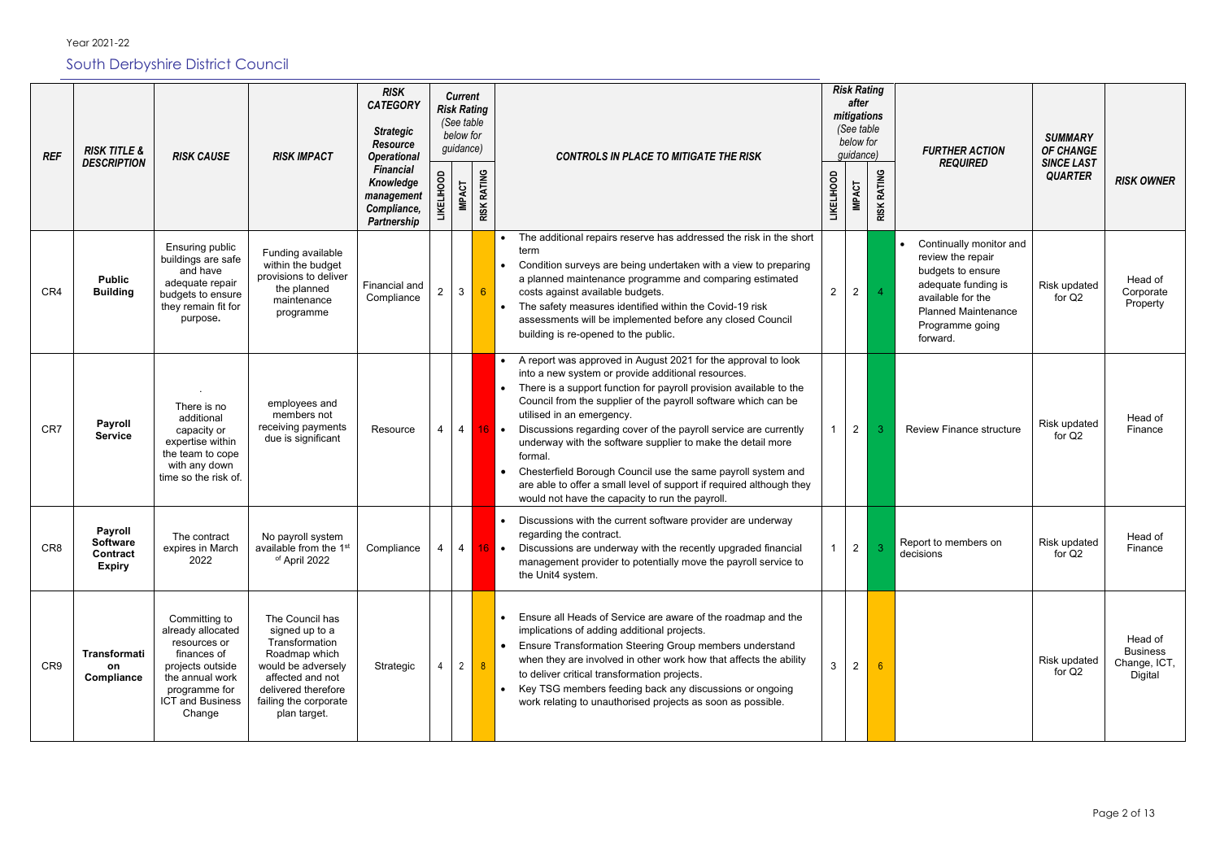| <b>REF</b>      | <b>RISK TITLE &amp;</b><br><b>DESCRIPTION</b>                         | <b>RISK CAUSE</b>                                                                                                                                              | <b>RISK IMPACT</b>                                                                                                                                                             | <b>RISK</b><br><b>CATEGORY</b><br><b>Strategic</b><br><b>Resource</b><br><b>Operational</b> | <b>Current</b><br><b>Risk Rating</b><br>(See table<br>below for<br>guidance) |                       | <b>CONTROLS IN PLACE TO MITIGATE THE RISK</b>                                                                                                                                                                                                                                                                                                                                                                                                                                                                                                                                                                                                       | <b>Risk Rating</b><br>after<br>mitigations<br>(See table<br>below for<br>guidance) |                              | <b>FURTHER ACTION</b><br><b>REQUIRED</b>                                                                                                                                   | <b>SUMMARY</b><br><b>OF CHANGE</b><br><b>SINCE LAST</b> |                                                       |
|-----------------|-----------------------------------------------------------------------|----------------------------------------------------------------------------------------------------------------------------------------------------------------|--------------------------------------------------------------------------------------------------------------------------------------------------------------------------------|---------------------------------------------------------------------------------------------|------------------------------------------------------------------------------|-----------------------|-----------------------------------------------------------------------------------------------------------------------------------------------------------------------------------------------------------------------------------------------------------------------------------------------------------------------------------------------------------------------------------------------------------------------------------------------------------------------------------------------------------------------------------------------------------------------------------------------------------------------------------------------------|------------------------------------------------------------------------------------|------------------------------|----------------------------------------------------------------------------------------------------------------------------------------------------------------------------|---------------------------------------------------------|-------------------------------------------------------|
|                 |                                                                       |                                                                                                                                                                |                                                                                                                                                                                | <b>Financial</b><br>Knowledge<br>management<br>Compliance,<br>Partnership                   | <b>LIKELIHOOD</b><br><b>IMPACT</b>                                           | <b>RATING</b><br>RISK |                                                                                                                                                                                                                                                                                                                                                                                                                                                                                                                                                                                                                                                     | <b>LIKELIHOOD</b><br><b>IMPACT</b>                                                 | <b>RATING</b><br><b>RISK</b> |                                                                                                                                                                            | <b>QUARTER</b>                                          | <b>RISK OWNER</b>                                     |
| CR4             | <b>Public</b><br><b>Building</b>                                      | Ensuring public<br>buildings are safe<br>and have<br>adequate repair<br>budgets to ensure<br>they remain fit for<br>purpose.                                   | Funding available<br>within the budget<br>provisions to deliver<br>the planned<br>maintenance<br>programme                                                                     | Financial and<br>Compliance                                                                 | $\mathbf{3}$<br>2                                                            | $6\overline{6}$       | The additional repairs reserve has addressed the risk in the short<br>term<br>Condition surveys are being undertaken with a view to preparing<br>a planned maintenance programme and comparing estimated<br>costs against available budgets.<br>The safety measures identified within the Covid-19 risk<br>assessments will be implemented before any closed Council<br>building is re-opened to the public.                                                                                                                                                                                                                                        | $\overline{2}$<br>$\overline{2}$                                                   | $\overline{4}$               | Continually monitor and<br>review the repair<br>budgets to ensure<br>adequate funding is<br>available for the<br><b>Planned Maintenance</b><br>Programme going<br>forward. | Risk updated<br>for Q2                                  | Head of<br>Corporate<br>Property                      |
| CR7             | <b>Payroll</b><br><b>Service</b>                                      | There is no<br>additional<br>capacity or<br>expertise within<br>the team to cope<br>with any down<br>time so the risk of                                       | employees and<br>members not<br>receiving payments<br>due is significant                                                                                                       | Resource                                                                                    | $\overline{4}$                                                               |                       | A report was approved in August 2021 for the approval to look<br>into a new system or provide additional resources.<br>There is a support function for payroll provision available to the<br>Council from the supplier of the payroll software which can be<br>utilised in an emergency.<br>Discussions regarding cover of the payroll service are currently<br>$16$ $\bullet$<br>underway with the software supplier to make the detail more<br>formal.<br>Chesterfield Borough Council use the same payroll system and<br>are able to offer a small level of support if required although they<br>would not have the capacity to run the payroll. | $\overline{2}$                                                                     |                              | <b>Review Finance structure</b>                                                                                                                                            | Risk updated<br>for $Q2$                                | Head of<br>Finance                                    |
| CR <sub>8</sub> | <b>Payroll</b><br><b>Software</b><br><b>Contract</b><br><b>Expiry</b> | The contract<br>expires in March<br>2022                                                                                                                       | No payroll system<br>available from the 1 <sup>st</sup><br>of April 2022                                                                                                       | Compliance                                                                                  | $\overline{4}$<br>4                                                          |                       | Discussions with the current software provider are underway<br>regarding the contract.<br>Discussions are underway with the recently upgraded financial<br>management provider to potentially move the payroll service to<br>the Unit4 system.                                                                                                                                                                                                                                                                                                                                                                                                      | $2^{\circ}$                                                                        | 3                            | Report to members on<br>decisions                                                                                                                                          | Risk updated<br>for Q2                                  | Head of<br>Finance                                    |
| CR9             | Transformati<br>on<br>Compliance                                      | Committing to<br>already allocated<br>resources or<br>finances of<br>projects outside<br>the annual work<br>programme for<br><b>ICT and Business</b><br>Change | The Council has<br>signed up to a<br>Transformation<br>Roadmap which<br>would be adversely<br>affected and not<br>delivered therefore<br>failing the corporate<br>plan target. | Strategic                                                                                   | $\overline{2}$                                                               | 8                     | Ensure all Heads of Service are aware of the roadmap and the<br>implications of adding additional projects.<br>Ensure Transformation Steering Group members understand<br>when they are involved in other work how that affects the ability<br>to deliver critical transformation projects.<br>Key TSG members feeding back any discussions or ongoing<br>work relating to unauthorised projects as soon as possible.                                                                                                                                                                                                                               | 3<br>2                                                                             |                              |                                                                                                                                                                            | Risk updated<br>for Q2                                  | Head of<br><b>Business</b><br>Change, ICT,<br>Digital |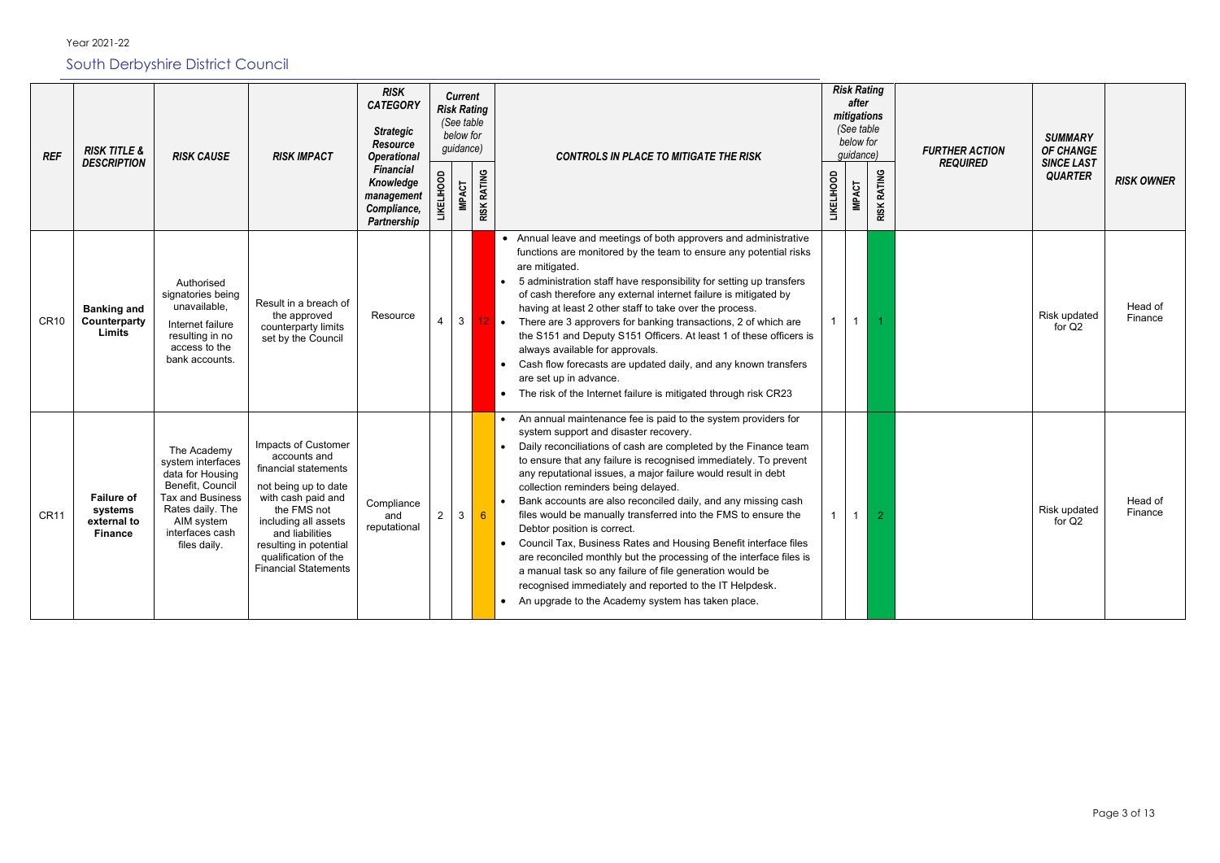| <b>REF</b>  | <b>RISK TITLE &amp;</b>                                       | <b>RISK CAUSE</b>                                                                                                                                                        | <b>RISK IMPACT</b>                                                                                                                                                                                                                                   | <b>RISK</b><br><b>CATEGORY</b><br><b>Strategic</b><br><b>Resource</b><br><b>Operational</b> |                   | <b>Current</b><br><b>Risk Rating</b><br>(See table<br>below for<br>guidance) |                    | <b>CONTROLS IN PLACE TO MITIGATE THE RISK</b>                                                                                                                                                                                                                                                                                                                                                                                                                                                                                                                                                                                                                                                                                                                                                                                                              |                   | <b>Risk Rating</b><br>after<br>mitigations<br>(See table<br>below for<br>guidance) |                    |
|-------------|---------------------------------------------------------------|--------------------------------------------------------------------------------------------------------------------------------------------------------------------------|------------------------------------------------------------------------------------------------------------------------------------------------------------------------------------------------------------------------------------------------------|---------------------------------------------------------------------------------------------|-------------------|------------------------------------------------------------------------------|--------------------|------------------------------------------------------------------------------------------------------------------------------------------------------------------------------------------------------------------------------------------------------------------------------------------------------------------------------------------------------------------------------------------------------------------------------------------------------------------------------------------------------------------------------------------------------------------------------------------------------------------------------------------------------------------------------------------------------------------------------------------------------------------------------------------------------------------------------------------------------------|-------------------|------------------------------------------------------------------------------------|--------------------|
|             | <b>DESCRIPTION</b>                                            |                                                                                                                                                                          |                                                                                                                                                                                                                                                      | <b>Financial</b><br>Knowledge<br>management<br>Compliance,<br><b>Partnership</b>            | <b>LIKELIHOOD</b> | <b>IMPACT</b>                                                                | <b>RISK RATING</b> |                                                                                                                                                                                                                                                                                                                                                                                                                                                                                                                                                                                                                                                                                                                                                                                                                                                            | <b>LIKELIHOOD</b> | <b>IMPACT</b>                                                                      | <b>RISK RATING</b> |
| <b>CR10</b> | <b>Banking and</b><br>Counterparty<br><b>Limits</b>           | Authorised<br>signatories being<br>unavailable,<br>Internet failure<br>resulting in no<br>access to the<br>bank accounts.                                                | Result in a breach of<br>the approved<br>counterparty limits<br>set by the Council                                                                                                                                                                   | Resource                                                                                    | $\overline{4}$    | 3 <sup>1</sup>                                                               | $12$ .             | • Annual leave and meetings of both approvers and administrative<br>functions are monitored by the team to ensure any potential risks<br>are mitigated.<br>5 administration staff have responsibility for setting up transfers<br>of cash therefore any external internet failure is mitigated by<br>having at least 2 other staff to take over the process.<br>There are 3 approvers for banking transactions, 2 of which are<br>the S151 and Deputy S151 Officers. At least 1 of these officers is<br>always available for approvals.<br>Cash flow forecasts are updated daily, and any known transfers<br>are set up in advance.<br>The risk of the Internet failure is mitigated through risk CR23                                                                                                                                                     |                   | $\overline{1}$                                                                     |                    |
| <b>CR11</b> | <b>Failure of</b><br>systems<br>external to<br><b>Finance</b> | The Academy<br>system interfaces<br>data for Housing<br>Benefit, Council<br><b>Tax and Business</b><br>Rates daily. The<br>AIM system<br>interfaces cash<br>files daily. | Impacts of Customer<br>accounts and<br>financial statements<br>not being up to date<br>with cash paid and<br>the FMS not<br>including all assets<br>and liabilities<br>resulting in potential<br>qualification of the<br><b>Financial Statements</b> | Compliance<br>and<br>reputational                                                           | $\sqrt{2}$        | 3                                                                            | $6\phantom{1}6$    | An annual maintenance fee is paid to the system providers for<br>system support and disaster recovery.<br>Daily reconciliations of cash are completed by the Finance team<br>to ensure that any failure is recognised immediately. To prevent<br>any reputational issues, a major failure would result in debt<br>collection reminders being delayed.<br>Bank accounts are also reconciled daily, and any missing cash<br>files would be manually transferred into the FMS to ensure the<br>Debtor position is correct.<br>Council Tax, Business Rates and Housing Benefit interface files<br>are reconciled monthly but the processing of the interface files is<br>a manual task so any failure of file generation would be<br>recognised immediately and reported to the IT Helpdesk.<br>An upgrade to the Academy system has taken place.<br>$\bullet$ |                   |                                                                                    | 2                  |

| isk Rating<br>after<br>nitigations<br>(See table<br>below for<br>guidance) |                    | <b>FURTHER ACTION</b> | <b>SUMMARY</b><br>OF CHANGE         |                    |
|----------------------------------------------------------------------------|--------------------|-----------------------|-------------------------------------|--------------------|
| <b>IMPACT</b>                                                              | <b>RISK RATING</b> | <b>REQUIRED</b>       | <b>SINCE LAST</b><br><b>QUARTER</b> | <b>RISK OWNER</b>  |
| $\mathbf{1}$                                                               | 1                  |                       | Risk updated<br>for Q <sub>2</sub>  | Head of<br>Finance |
| $\mathbf{1}$                                                               | $\overline{2}$     |                       | Risk updated<br>for Q2              | Head of<br>Finance |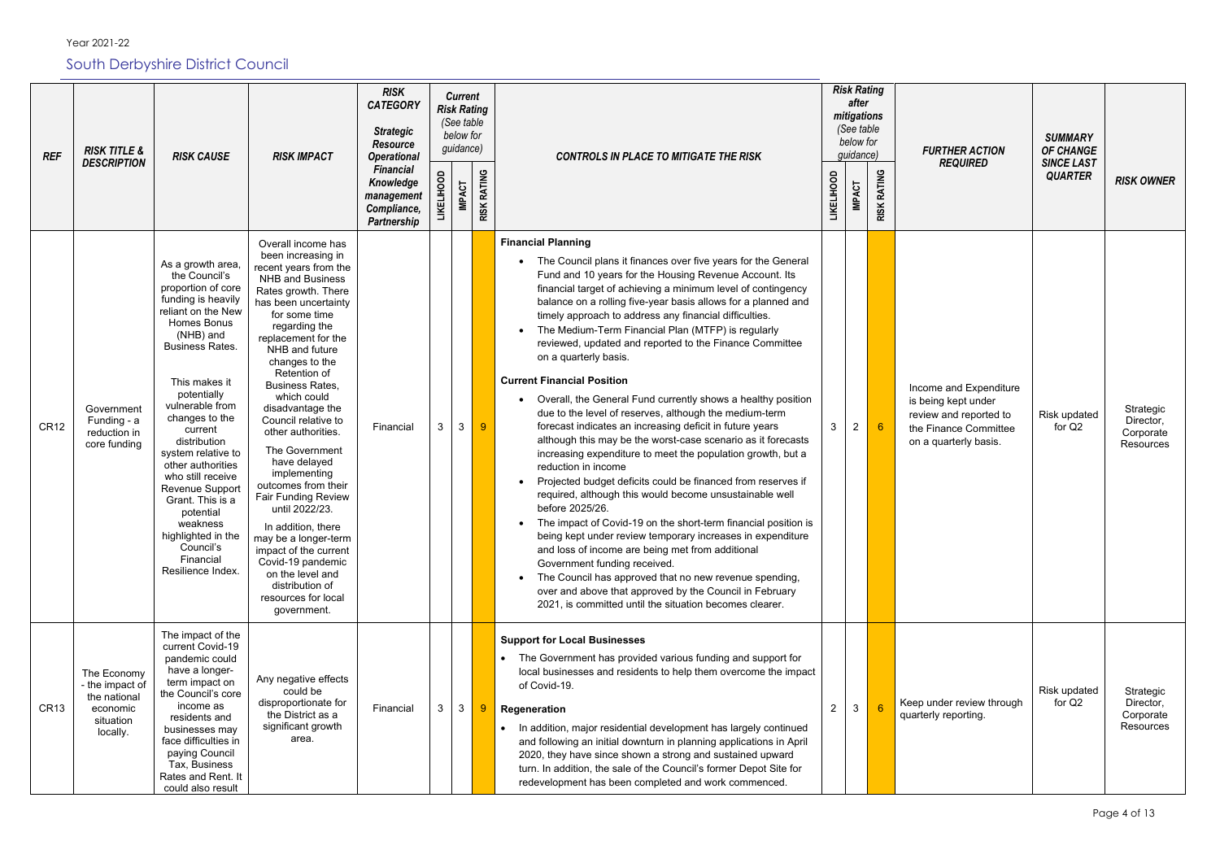| <b>REF</b>  | <b>RISK TITLE &amp;</b><br><b>DESCRIPTION</b>                                       | <b>RISK CAUSE</b>                                                                                                                                                                                                                                                                                                                                                                                                                                                      | <b>RISK IMPACT</b>                                                                                                                                                                                                                                                                                                                                                                                                                                                                                                                                                                                                                                                   | <b>RISK</b><br><b>CATEGORY</b><br><b>Strategic</b><br><b>Resource</b><br><b>Operational</b><br><b>Financial</b> | <b>Risk Rating</b> | <b>Current</b><br>(See table<br>below for<br>guidance) |                    | <b>CONTROLS IN PLACE TO MITIGATE THE RISK</b>                                                                                                                                                                                                                                                                                                                                                                                                                                                                                                                                                                                                                                                                                                                                                                                                                                                                                                                                                                                                                                                                                                                                                                                                                                                                                                                                                                                |                   | <b>Risk Rating</b><br>after<br>mitigations<br>(See table<br>below for<br>guidance) |                              | <b>FURTHER ACTION</b><br><b>REQUIRED</b>                                                                                  | <b>SUMMARY</b><br><b>OF CHANGE</b><br><b>SINCE LAST</b> |                                                  |
|-------------|-------------------------------------------------------------------------------------|------------------------------------------------------------------------------------------------------------------------------------------------------------------------------------------------------------------------------------------------------------------------------------------------------------------------------------------------------------------------------------------------------------------------------------------------------------------------|----------------------------------------------------------------------------------------------------------------------------------------------------------------------------------------------------------------------------------------------------------------------------------------------------------------------------------------------------------------------------------------------------------------------------------------------------------------------------------------------------------------------------------------------------------------------------------------------------------------------------------------------------------------------|-----------------------------------------------------------------------------------------------------------------|--------------------|--------------------------------------------------------|--------------------|------------------------------------------------------------------------------------------------------------------------------------------------------------------------------------------------------------------------------------------------------------------------------------------------------------------------------------------------------------------------------------------------------------------------------------------------------------------------------------------------------------------------------------------------------------------------------------------------------------------------------------------------------------------------------------------------------------------------------------------------------------------------------------------------------------------------------------------------------------------------------------------------------------------------------------------------------------------------------------------------------------------------------------------------------------------------------------------------------------------------------------------------------------------------------------------------------------------------------------------------------------------------------------------------------------------------------------------------------------------------------------------------------------------------------|-------------------|------------------------------------------------------------------------------------|------------------------------|---------------------------------------------------------------------------------------------------------------------------|---------------------------------------------------------|--------------------------------------------------|
|             |                                                                                     |                                                                                                                                                                                                                                                                                                                                                                                                                                                                        |                                                                                                                                                                                                                                                                                                                                                                                                                                                                                                                                                                                                                                                                      | Knowledge<br>management<br>Compliance,<br>Partnership                                                           | <b>LIKELIHOOD</b>  | <b>IMPACT</b>                                          | <b>RISK RATING</b> |                                                                                                                                                                                                                                                                                                                                                                                                                                                                                                                                                                                                                                                                                                                                                                                                                                                                                                                                                                                                                                                                                                                                                                                                                                                                                                                                                                                                                              | <b>LIKELIHOOD</b> | <b>IMPACT</b>                                                                      | <b>RATING</b><br><b>RISK</b> |                                                                                                                           | <b>QUARTER</b>                                          | <b>RISK OWNER</b>                                |
| <b>CR12</b> | Government<br>Funding - a<br>reduction in<br>core funding                           | As a growth area,<br>the Council's<br>proportion of core<br>funding is heavily<br>reliant on the New<br><b>Homes Bonus</b><br>(NHB) and<br><b>Business Rates.</b><br>This makes it<br>potentially<br>vulnerable from<br>changes to the<br>current<br>distribution<br>system relative to<br>other authorities<br>who still receive<br>Revenue Support<br>Grant. This is a<br>potential<br>weakness<br>highlighted in the<br>Council's<br>Financial<br>Resilience Index. | Overall income has<br>been increasing in<br>recent years from the<br><b>NHB</b> and Business<br>Rates growth. There<br>has been uncertainty<br>for some time<br>regarding the<br>replacement for the<br>NHB and future<br>changes to the<br>Retention of<br><b>Business Rates,</b><br>which could<br>disadvantage the<br>Council relative to<br>other authorities.<br>The Government<br>have delayed<br>implementing<br>outcomes from their<br><b>Fair Funding Review</b><br>until 2022/23.<br>In addition, there<br>may be a longer-term<br>impact of the current<br>Covid-19 pandemic<br>on the level and<br>distribution of<br>resources for local<br>government. | Financial                                                                                                       | 3                  | $\mathbf{3}$                                           | 9 <sup>°</sup>     | <b>Financial Planning</b><br>The Council plans it finances over five years for the General<br>Fund and 10 years for the Housing Revenue Account. Its<br>financial target of achieving a minimum level of contingency<br>balance on a rolling five-year basis allows for a planned and<br>timely approach to address any financial difficulties.<br>The Medium-Term Financial Plan (MTFP) is regularly<br>reviewed, updated and reported to the Finance Committee<br>on a quarterly basis.<br><b>Current Financial Position</b><br>Overall, the General Fund currently shows a healthy position<br>due to the level of reserves, although the medium-term<br>forecast indicates an increasing deficit in future years<br>although this may be the worst-case scenario as it forecasts<br>increasing expenditure to meet the population growth, but a<br>reduction in income<br>Projected budget deficits could be financed from reserves if<br>required, although this would become unsustainable well<br>before 2025/26.<br>The impact of Covid-19 on the short-term financial position is<br>being kept under review temporary increases in expenditure<br>and loss of income are being met from additional<br>Government funding received.<br>The Council has approved that no new revenue spending,<br>over and above that approved by the Council in February<br>2021, is committed until the situation becomes clearer. | 3                 | $\overline{2}$                                                                     | 6 <sup>°</sup>               | Income and Expenditure<br>is being kept under<br>review and reported to<br>the Finance Committee<br>on a quarterly basis. | Risk updated<br>for Q2                                  | Strategic<br>Director,<br>Corporate<br>Resources |
| <b>CR13</b> | The Economy<br>- the impact of<br>the national<br>economic<br>situation<br>locally. | The impact of the<br>current Covid-19<br>pandemic could<br>have a longer-<br>term impact on<br>the Council's core<br>income as<br>residents and<br>businesses may<br>face difficulties in<br>paying Council<br>Tax, Business<br>Rates and Rent. It<br>could also result                                                                                                                                                                                                | Any negative effects<br>could be<br>disproportionate for<br>the District as a<br>significant growth<br>area.                                                                                                                                                                                                                                                                                                                                                                                                                                                                                                                                                         | Financial                                                                                                       | 3                  | $\mathbf{3}$                                           | 9                  | <b>Support for Local Businesses</b><br>The Government has provided various funding and support for<br>local businesses and residents to help them overcome the impact<br>of Covid-19.<br>Regeneration<br>In addition, major residential development has largely continued<br>$\bullet$<br>and following an initial downturn in planning applications in April<br>2020, they have since shown a strong and sustained upward<br>turn. In addition, the sale of the Council's former Depot Site for<br>redevelopment has been completed and work commenced.                                                                                                                                                                                                                                                                                                                                                                                                                                                                                                                                                                                                                                                                                                                                                                                                                                                                     | $\overline{2}$    | $\mathbf{3}$                                                                       | 6                            | Keep under review through<br>quarterly reporting.                                                                         | Risk updated<br>for Q2                                  | Strategic<br>Director,<br>Corporate<br>Resources |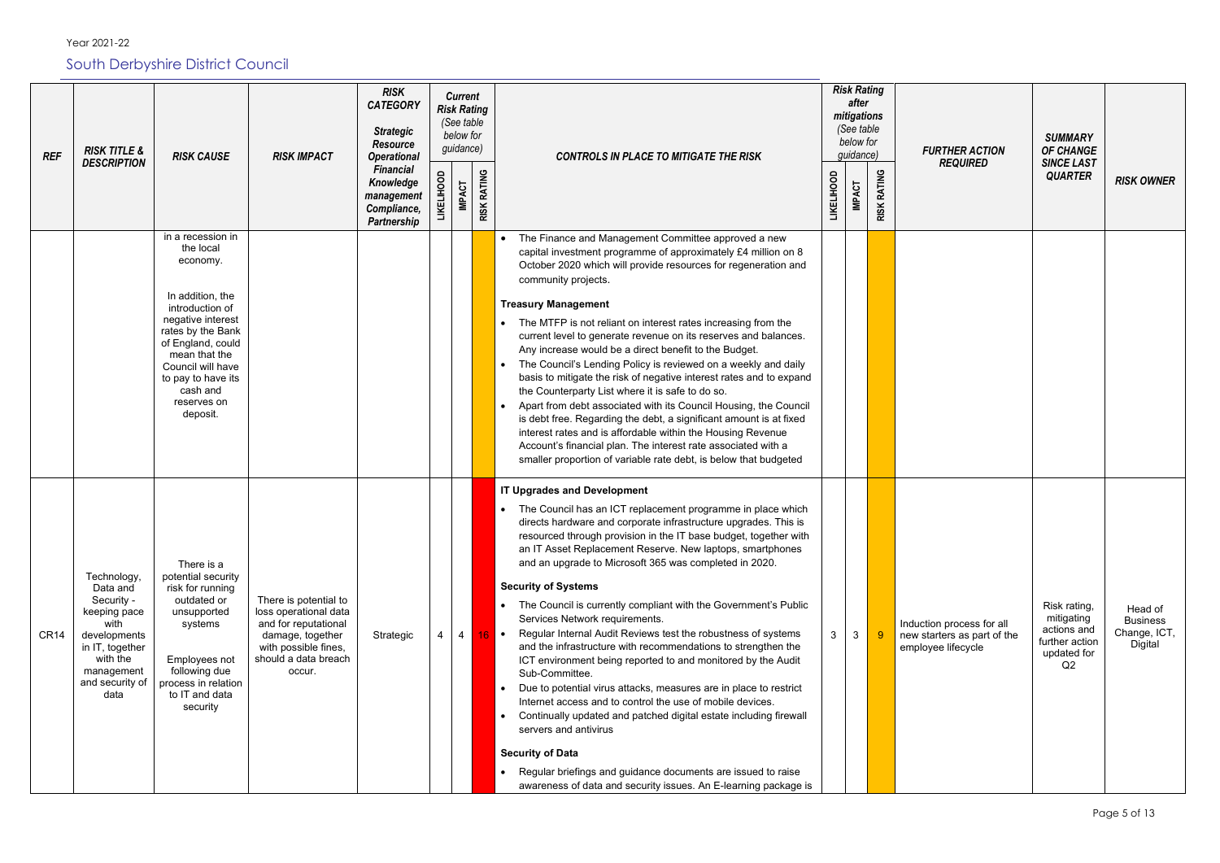Year 2021-22

### South Derbyshire District Council

| <b>REF</b>       | <b>RISK TITLE &amp;</b><br><b>DESCRIPTION</b>                                                                                                         | <b>RISK CAUSE</b>                                                                                                                                                                                                                                   | <b>RISK IMPACT</b>                                                                                                                                   | <b>RISK</b><br><b>CATEGORY</b><br><b>Strategic</b><br><b>Resource</b><br><b>Operational</b> |                   | <b>Current</b><br><b>Risk Rating</b><br>(See table<br>below for<br>guidance) |                    | <b>CONTROLS IN PLACE TO MITIGATE THE RISK</b>                                                                                                                                                                                                                                                                                                                                                                                                                                                                                                                                                                                                                                                                                                                                                                                                                                                                                                                                                                                                                                                                                                               |                   | <b>Risk Rating</b><br>after<br>mitigations<br>(See table<br>below for<br>guidance) |                    |                         |
|------------------|-------------------------------------------------------------------------------------------------------------------------------------------------------|-----------------------------------------------------------------------------------------------------------------------------------------------------------------------------------------------------------------------------------------------------|------------------------------------------------------------------------------------------------------------------------------------------------------|---------------------------------------------------------------------------------------------|-------------------|------------------------------------------------------------------------------|--------------------|-------------------------------------------------------------------------------------------------------------------------------------------------------------------------------------------------------------------------------------------------------------------------------------------------------------------------------------------------------------------------------------------------------------------------------------------------------------------------------------------------------------------------------------------------------------------------------------------------------------------------------------------------------------------------------------------------------------------------------------------------------------------------------------------------------------------------------------------------------------------------------------------------------------------------------------------------------------------------------------------------------------------------------------------------------------------------------------------------------------------------------------------------------------|-------------------|------------------------------------------------------------------------------------|--------------------|-------------------------|
|                  |                                                                                                                                                       |                                                                                                                                                                                                                                                     |                                                                                                                                                      | <b>Financial</b><br>Knowledge<br>management<br>Compliance,<br><b>Partnership</b>            | <b>LIKELIHOOD</b> | <b>IMPACT</b>                                                                | <b>RISK RATING</b> |                                                                                                                                                                                                                                                                                                                                                                                                                                                                                                                                                                                                                                                                                                                                                                                                                                                                                                                                                                                                                                                                                                                                                             | <b>LIKELIHOOD</b> | <b>IMPACT</b>                                                                      | <b>RISK RATING</b> |                         |
|                  |                                                                                                                                                       | in a recession in<br>the local<br>economy.<br>In addition, the<br>introduction of<br>negative interest<br>rates by the Bank<br>of England, could<br>mean that the<br>Council will have<br>to pay to have its<br>cash and<br>reserves on<br>deposit. |                                                                                                                                                      |                                                                                             |                   |                                                                              |                    | The Finance and Management Committee approved a new<br>$\bullet$<br>capital investment programme of approximately £4 million on 8<br>October 2020 which will provide resources for regeneration and<br>community projects.<br><b>Treasury Management</b><br>The MTFP is not reliant on interest rates increasing from the<br>current level to generate revenue on its reserves and balances.<br>Any increase would be a direct benefit to the Budget.<br>The Council's Lending Policy is reviewed on a weekly and daily<br>basis to mitigate the risk of negative interest rates and to expand<br>the Counterparty List where it is safe to do so.<br>Apart from debt associated with its Council Housing, the Council<br>is debt free. Regarding the debt, a significant amount is at fixed<br>interest rates and is affordable within the Housing Revenue<br>Account's financial plan. The interest rate associated with a<br>smaller proportion of variable rate debt, is below that budgeted                                                                                                                                                            |                   |                                                                                    |                    |                         |
| CR <sub>14</sub> | Technology,<br>Data and<br>Security -<br>keeping pace<br>with<br>developments<br>in IT, together<br>with the<br>management<br>and security of<br>data | There is a<br>potential security<br>risk for running<br>outdated or<br>unsupported<br>systems<br>Employees not<br>following due<br>process in relation<br>to IT and data<br>security                                                                | There is potential to<br>loss operational data<br>and for reputational<br>damage, together<br>with possible fines,<br>should a data breach<br>occur. | Strategic                                                                                   | 4                 | 4                                                                            | $16$ $\bullet$     | <b>IT Upgrades and Development</b><br>The Council has an ICT replacement programme in place which<br>$\bullet$<br>directs hardware and corporate infrastructure upgrades. This is<br>resourced through provision in the IT base budget, together with<br>an IT Asset Replacement Reserve. New laptops, smartphones<br>and an upgrade to Microsoft 365 was completed in 2020.<br><b>Security of Systems</b><br>The Council is currently compliant with the Government's Public<br>$\bullet$<br>Services Network requirements.<br>Regular Internal Audit Reviews test the robustness of systems<br>and the infrastructure with recommendations to strengthen the<br>ICT environment being reported to and monitored by the Audit<br>Sub-Committee.<br>Due to potential virus attacks, measures are in place to restrict<br>Internet access and to control the use of mobile devices.<br>Continually updated and patched digital estate including firewall<br>$\bullet$<br>servers and antivirus<br><b>Security of Data</b><br>Regular briefings and guidance documents are issued to raise<br>awareness of data and security issues. An E-learning package is | 3                 | 3 <sup>1</sup>                                                                     | 9                  | Induc<br>new s<br>emplo |

| isk Rating<br>after<br>nitigations<br>(See table<br>below for<br>guidance) |                    | <b>FURTHER ACTION</b><br><b>REQUIRED</b>                                       | <b>SUMMARY</b><br>OF CHANGE<br><b>SINCE LAST</b>                                 |                                                       |
|----------------------------------------------------------------------------|--------------------|--------------------------------------------------------------------------------|----------------------------------------------------------------------------------|-------------------------------------------------------|
| <b>IMPACT</b>                                                              | <b>RISK RATING</b> |                                                                                | <b>QUARTER</b>                                                                   | <b>RISK OWNER</b>                                     |
|                                                                            |                    |                                                                                |                                                                                  |                                                       |
|                                                                            |                    |                                                                                |                                                                                  |                                                       |
|                                                                            |                    |                                                                                |                                                                                  |                                                       |
|                                                                            |                    |                                                                                |                                                                                  |                                                       |
|                                                                            |                    |                                                                                |                                                                                  |                                                       |
| 3                                                                          | $\overline{9}$     | Induction process for all<br>new starters as part of the<br>employee lifecycle | Risk rating,<br>mitigating<br>actions and<br>further action<br>updated for<br>Q2 | Head of<br><b>Business</b><br>Change, ICT,<br>Digital |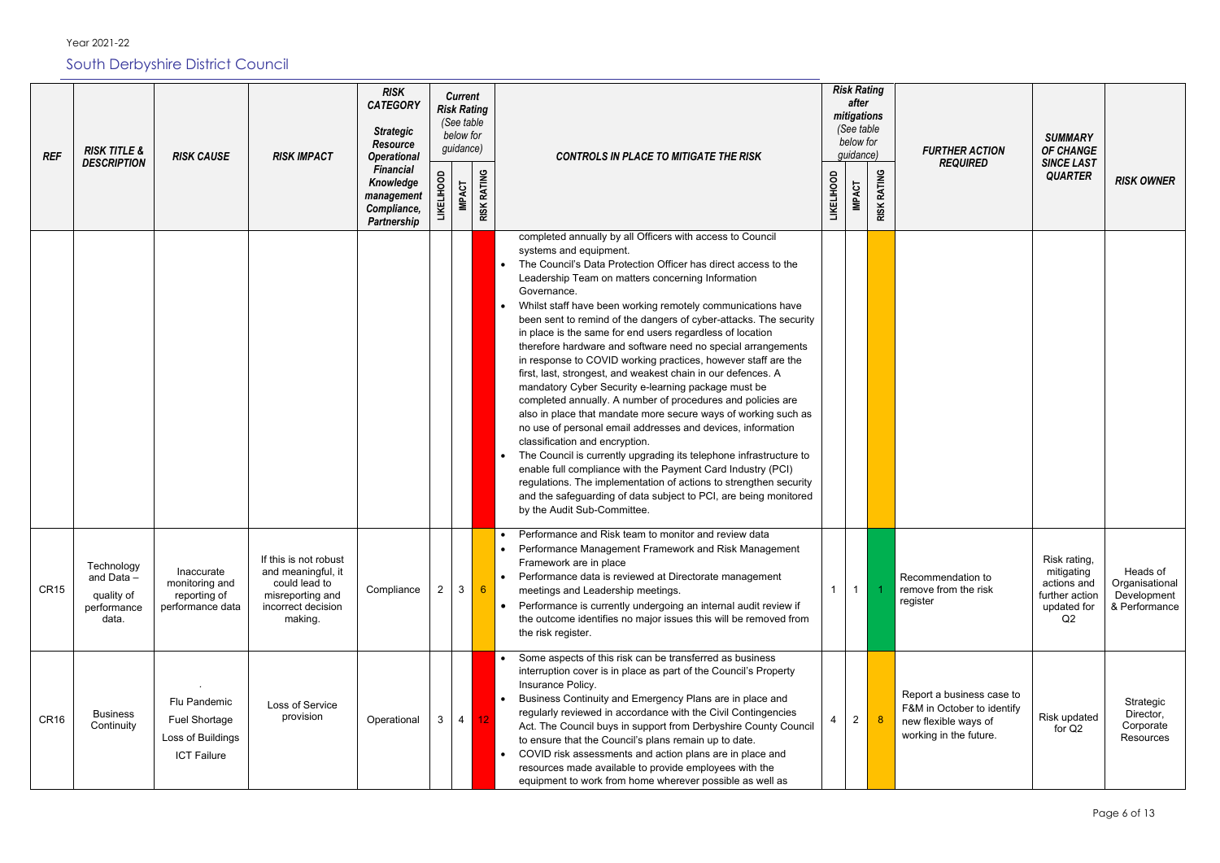*Risk Rating RISK Current after CATEGORY Risk Rating mitigations (See table (See table Strategic below for below for Resource guidance) REF RISK TITLE &*   $quidance$ *DESCRIPTION* RISK CAUSE **RISK IMPACT** *Operational CONTROLS IN PLACE TO MITIGATE THE RISK Financial*  **RISK RATING RISK RATING RISK RATING RISK RATING LIKELIHOOD LIKELIHOOD LIKELIHOOD LIKELIHOOD**  *Knowledge*  **IMPACT IMPACT**  *management Compliance, Partnership*  completed annually by all Officers with access to Council systems and equipment. The Council's Data Protection Officer has direct access to the Leadership Team on matters concerning Information Governance. • Whilst staff have been working remotely communications have been sent to remind of the dangers of cyber-attacks. The security in place is the same for end users regardless of location therefore hardware and software need no special arrangements in response to COVID working practices, however staff are the first, last, strongest, and weakest chain in our defences. A mandatory Cyber Security e-learning package must be completed annually. A number of procedures and policies are also in place that mandate more secure ways of working such as no use of personal email addresses and devices, information classification and encryption. The Council is currently upgrading its telephone infrastructure to enable full compliance with the Payment Card Industry (PCI) regulations. The implementation of actions to strengthen security and the safeguarding of data subject to PCI, are being monitored by the Audit Sub-Committee. • Performance and Risk team to monitor and review data • Performance Management Framework and Risk Management If this is not robust Framework are in place **Technology** Inaccurate and meaningful, it • Performance data is reviewed at Directorate management Reco and Data – monitoring and could lead to Compliance 2 3 6  $1 \mid 1$ CR15 remo meetings and Leadership meetings. quality of reporting of misreporting and regist • Performance is currently undergoing an internal audit review if performance performance data incorrect decision data. making. the outcome identifies no major issues this will be removed from the risk register. • Some aspects of this risk can be transferred as business interruption cover is in place as part of the Council's Property *.* Insurance Policy. Repo • Business Continuity and Emergency Plans are in place and Flu Pandemic Loss of Service  $F$ &M regularly reviewed in accordance with the Civil Contingencies  $CR16$  Business provision Operational 3 4 12 Fuel Shortage 4 2 8 new **Continuity** Act. The Council buys in support from Derbyshire County Council work Loss of Buildings to ensure that the Council's plans remain up to date. • COVID risk assessments and action plans are in place and ICT Failure resources made available to provide employees with the equipment to work from home wherever possible as well as

| <b>FURTHER ACTION</b><br><b>REQUIRED</b>                                                     | <b>SUMMARY</b><br><b>OF CHANGE</b><br><b>SINCE LAST</b><br><b>QUARTER</b>                    | <b>RISK OWNER</b>                                          |
|----------------------------------------------------------------------------------------------|----------------------------------------------------------------------------------------------|------------------------------------------------------------|
|                                                                                              |                                                                                              |                                                            |
|                                                                                              |                                                                                              |                                                            |
| mmendation to<br>ve from the risk<br>ter                                                     | Risk rating,<br>mitigating<br>actions and<br>further action<br>updated for<br>Q <sub>2</sub> | Heads of<br>Organisational<br>Development<br>& Performance |
| ort a business case to<br>I in October to identify<br>flexible ways of<br>ing in the future. | Risk updated<br>for Q2                                                                       | Strategic<br>Director,<br>Corporate<br>Resources           |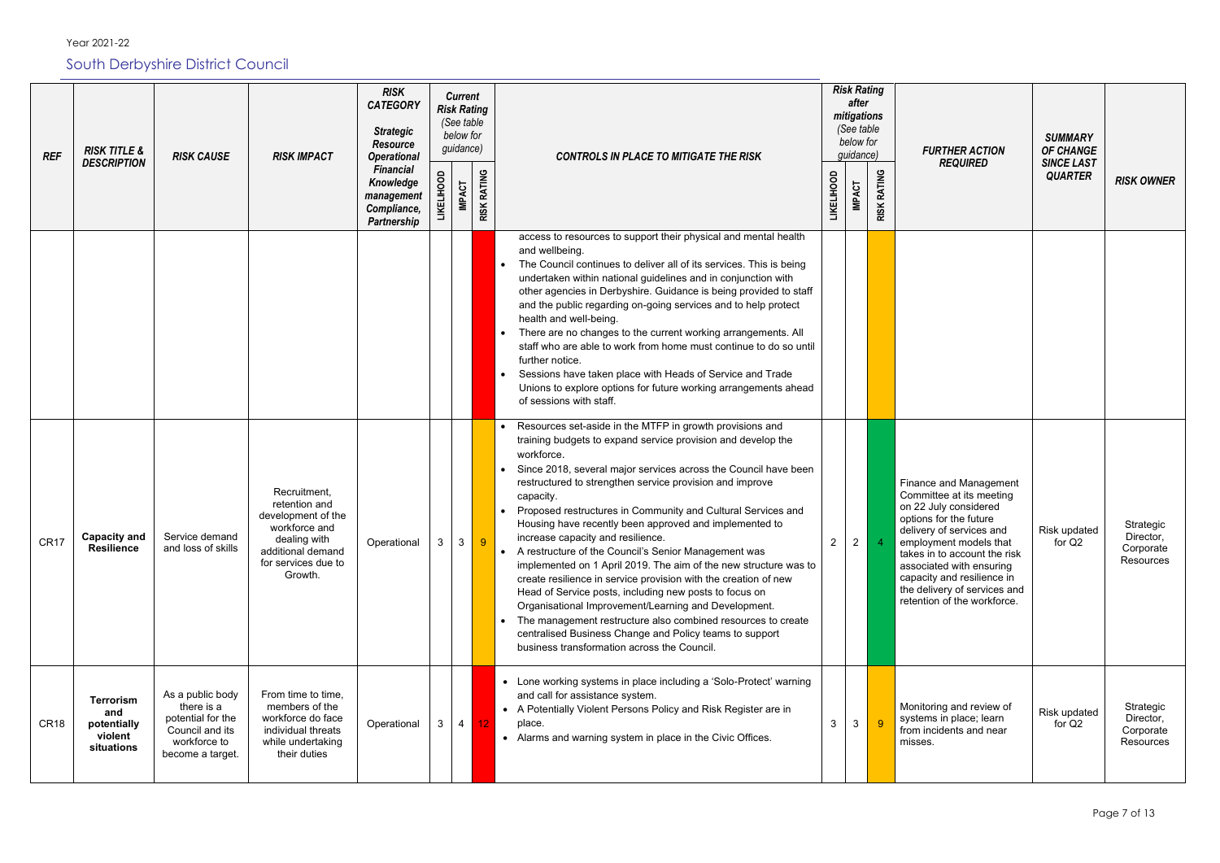Year 2021-22

South Derbyshire District Council

| <b>REF</b>       | <b>RISK TITLE &amp;</b><br><b>DESCRIPTION</b>                   | <b>RISK CAUSE</b>                                                                                          | <b>RISK IMPACT</b>                                                                                                                          | <b>RISK</b><br><b>CATEGORY</b><br><b>Strategic</b><br><b>Resource</b><br><b>Operational</b> | <b>Current</b><br><b>Risk Rating</b><br>(See table<br>below for<br>guidance)<br><b>CONTROLS IN PLACE TO MITIGATE THE RISK</b> |                |                         |                                                                                                                                                                                                                                                                                                                                                                                                                                                                                                                                                                                                                                                                                                                                                                                                                                                                                                                                              | <b>Risk Rating</b><br>after<br>mitigations<br>(See table<br>below for<br>guidance) |               |                              |                                                                                                    |
|------------------|-----------------------------------------------------------------|------------------------------------------------------------------------------------------------------------|---------------------------------------------------------------------------------------------------------------------------------------------|---------------------------------------------------------------------------------------------|-------------------------------------------------------------------------------------------------------------------------------|----------------|-------------------------|----------------------------------------------------------------------------------------------------------------------------------------------------------------------------------------------------------------------------------------------------------------------------------------------------------------------------------------------------------------------------------------------------------------------------------------------------------------------------------------------------------------------------------------------------------------------------------------------------------------------------------------------------------------------------------------------------------------------------------------------------------------------------------------------------------------------------------------------------------------------------------------------------------------------------------------------|------------------------------------------------------------------------------------|---------------|------------------------------|----------------------------------------------------------------------------------------------------|
|                  |                                                                 |                                                                                                            |                                                                                                                                             | <b>Financial</b><br>Knowledge<br>management<br>Compliance,<br><b>Partnership</b>            | <b>LIKELIHOOD</b>                                                                                                             | <b>IMPACT</b>  | <b>RATING</b><br>RISK I |                                                                                                                                                                                                                                                                                                                                                                                                                                                                                                                                                                                                                                                                                                                                                                                                                                                                                                                                              | <b>LIKELIHOOD</b>                                                                  | <b>IMPACT</b> | <b>RATING</b><br><b>RISK</b> |                                                                                                    |
|                  |                                                                 |                                                                                                            |                                                                                                                                             |                                                                                             |                                                                                                                               |                |                         | access to resources to support their physical and mental health<br>and wellbeing.<br>The Council continues to deliver all of its services. This is being<br>undertaken within national guidelines and in conjunction with<br>other agencies in Derbyshire. Guidance is being provided to staff<br>and the public regarding on-going services and to help protect<br>health and well-being.<br>There are no changes to the current working arrangements. All<br>staff who are able to work from home must continue to do so until<br>further notice.<br>Sessions have taken place with Heads of Service and Trade<br>Unions to explore options for future working arrangements ahead<br>of sessions with staff.                                                                                                                                                                                                                               |                                                                                    |               |                              |                                                                                                    |
| CR <sub>17</sub> | <b>Capacity and</b><br><b>Resilience</b>                        | Service demand<br>and loss of skills                                                                       | Recruitment,<br>retention and<br>development of the<br>workforce and<br>dealing with<br>additional demand<br>for services due to<br>Growth. | Operational                                                                                 | 3                                                                                                                             | 3              |                         | Resources set-aside in the MTFP in growth provisions and<br>training budgets to expand service provision and develop the<br>workforce.<br>Since 2018, several major services across the Council have been<br>restructured to strengthen service provision and improve<br>capacity.<br>Proposed restructures in Community and Cultural Services and<br>Housing have recently been approved and implemented to<br>increase capacity and resilience.<br>A restructure of the Council's Senior Management was<br>implemented on 1 April 2019. The aim of the new structure was to<br>create resilience in service provision with the creation of new<br>Head of Service posts, including new posts to focus on<br>Organisational Improvement/Learning and Development.<br>The management restructure also combined resources to create<br>centralised Business Change and Policy teams to support<br>business transformation across the Council. |                                                                                    | 2             |                              | Finan<br>Comr<br>on 22<br>option<br>delive<br>emplo<br>takes<br>assoc<br>capad<br>the de<br>retent |
| CR <sub>18</sub> | <b>Terrorism</b><br>and<br>potentially<br>violent<br>situations | As a public body<br>there is a<br>potential for the<br>Council and its<br>workforce to<br>become a target. | From time to time,<br>members of the<br>workforce do face<br>individual threats<br>while undertaking<br>their duties                        | Operational                                                                                 | 3                                                                                                                             | 4 <sup>1</sup> | 12                      | • Lone working systems in place including a 'Solo-Protect' warning<br>and call for assistance system.<br>• A Potentially Violent Persons Policy and Risk Register are in<br>place.<br>• Alarms and warning system in place in the Civic Offices.                                                                                                                                                                                                                                                                                                                                                                                                                                                                                                                                                                                                                                                                                             | 3                                                                                  | 3             | -9                           | Monit<br>syste<br>from i<br>misse                                                                  |

| isk Rating<br>after<br>nitigations<br>(See table<br>below for<br>guidance) |             | <b>FURTHER ACTION</b><br><b>REQUIRED</b>                                                                                                                                                                                                                                                                             | <b>SUMMARY</b><br><b>OF CHANGE</b><br><b>SINCE LAST</b> |                                                  |
|----------------------------------------------------------------------------|-------------|----------------------------------------------------------------------------------------------------------------------------------------------------------------------------------------------------------------------------------------------------------------------------------------------------------------------|---------------------------------------------------------|--------------------------------------------------|
| <b>IMPACT</b>                                                              | RISK RATING |                                                                                                                                                                                                                                                                                                                      | <b>QUARTER</b>                                          | <b>RISK OWNER</b>                                |
|                                                                            |             |                                                                                                                                                                                                                                                                                                                      |                                                         |                                                  |
| $\overline{2}$                                                             | 4           | Finance and Management<br>Committee at its meeting<br>on 22 July considered<br>options for the future<br>delivery of services and<br>employment models that<br>takes in to account the risk<br>associated with ensuring<br>capacity and resilience in<br>the delivery of services and<br>retention of the workforce. | Risk updated<br>for Q2                                  | Strategic<br>Director,<br>Corporate<br>Resources |
| 3                                                                          | 9           | Monitoring and review of<br>systems in place; learn<br>from incidents and near<br>misses.                                                                                                                                                                                                                            | Risk updated<br>for Q2                                  | Strategic<br>Director,<br>Corporate<br>Resources |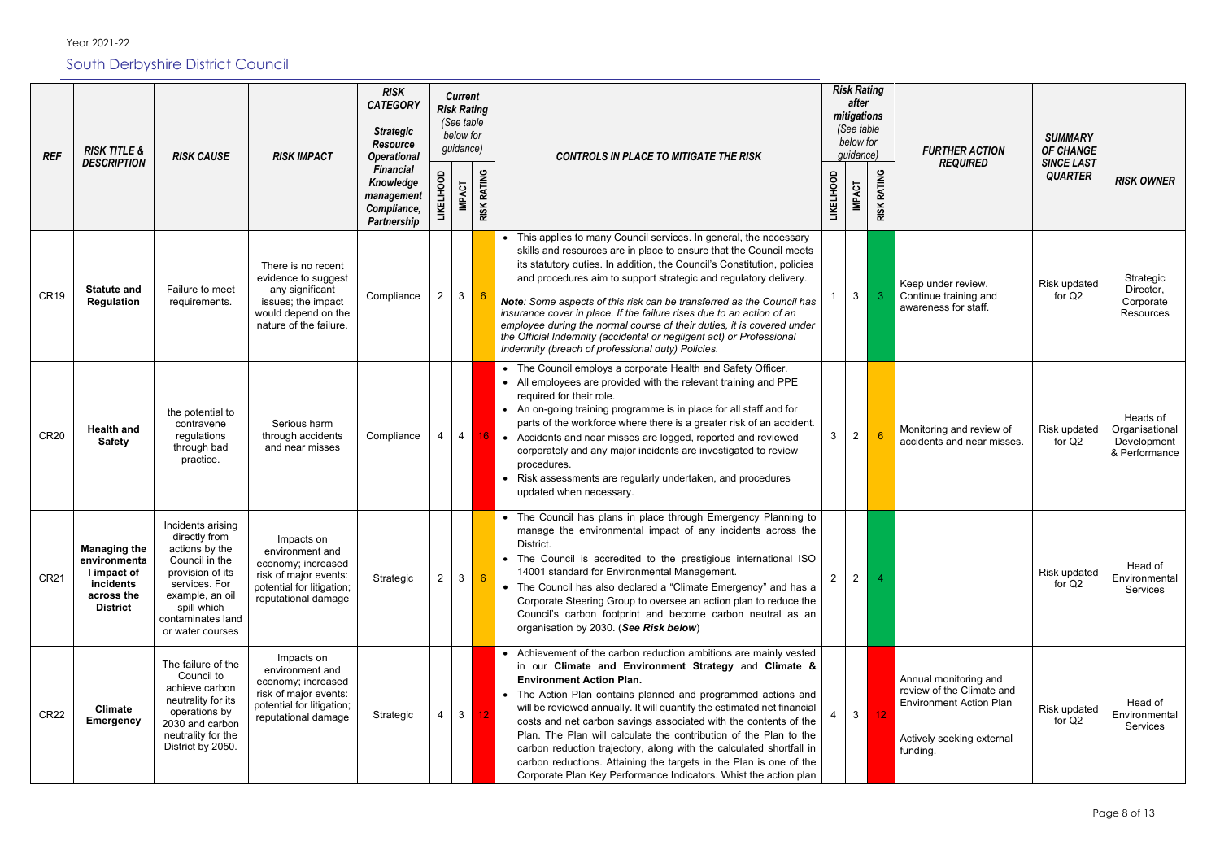| <b>REF</b>       | <b>RISK TITLE &amp;</b>                                                                          | <b>RISK CAUSE</b>                                                                                                                                                                      | <b>RISK</b><br><b>Current</b><br><b>CATEGORY</b><br><b>Risk Rating</b><br>(See table<br><b>Strategic</b><br>below for<br><b>Resource</b><br>guidance)<br><b>RISK IMPACT</b><br><b>Operational</b><br><b>CONTROLS IN PLACE TO MITIGATE THE RISK</b><br><b>Financial</b> |                                                       |          | <b>Risk Rating</b><br>after<br>mitigations<br>(See table<br>below for<br>guidance) |                    | <b>FURTHER ACTION</b>                                                                                                                                                                                                                                                                                                                                                                                                                                                                                                                                                                                                                                               | <b>SUMMARY</b><br><b>OF CHANGE</b> |                |                    |                                                                                                                               |                                           |                                                            |
|------------------|--------------------------------------------------------------------------------------------------|----------------------------------------------------------------------------------------------------------------------------------------------------------------------------------------|------------------------------------------------------------------------------------------------------------------------------------------------------------------------------------------------------------------------------------------------------------------------|-------------------------------------------------------|----------|------------------------------------------------------------------------------------|--------------------|---------------------------------------------------------------------------------------------------------------------------------------------------------------------------------------------------------------------------------------------------------------------------------------------------------------------------------------------------------------------------------------------------------------------------------------------------------------------------------------------------------------------------------------------------------------------------------------------------------------------------------------------------------------------|------------------------------------|----------------|--------------------|-------------------------------------------------------------------------------------------------------------------------------|-------------------------------------------|------------------------------------------------------------|
|                  | <b>DESCRIPTION</b>                                                                               |                                                                                                                                                                                        |                                                                                                                                                                                                                                                                        | Knowledge<br>management<br>Compliance,<br>Partnership | KELIHOOD | <b>IMPACT</b>                                                                      | <b>RISK RATING</b> |                                                                                                                                                                                                                                                                                                                                                                                                                                                                                                                                                                                                                                                                     | <b>LIKELIHOOD</b>                  | <b>IMPACT</b>  | <b>RISK RATING</b> | <b>REQUIRED</b>                                                                                                               | <b>SINCE LAST</b><br><b>QUARTER</b>       | <b>RISK OWNER</b>                                          |
| CR <sub>19</sub> | <b>Statute and</b><br><b>Regulation</b>                                                          | Failure to meet<br>requirements.                                                                                                                                                       | There is no recent<br>evidence to suggest<br>any significant<br>issues; the impact<br>would depend on the<br>nature of the failure.                                                                                                                                    | Compliance                                            |          | 3 <sup>1</sup>                                                                     |                    | • This applies to many Council services. In general, the necessary<br>skills and resources are in place to ensure that the Council meets<br>its statutory duties. In addition, the Council's Constitution, policies<br>and procedures aim to support strategic and regulatory delivery.<br>Note: Some aspects of this risk can be transferred as the Council has<br>insurance cover in place. If the failure rises due to an action of an<br>employee during the normal course of their duties, it is covered under<br>the Official Indemnity (accidental or negligent act) or Professional<br>Indemnity (breach of professional duty) Policies.                    |                                    | $\mathbf{3}$   | 3                  | Keep under review.<br>Continue training and<br>awareness for staff.                                                           | <b>Risk updated</b><br>for Q <sub>2</sub> | Strategic<br>Director,<br>Corporate<br>Resources           |
| <b>CR20</b>      | <b>Health and</b><br><b>Safety</b>                                                               | the potential to<br>contravene<br>regulations<br>through bad<br>practice.                                                                                                              | Serious harm<br>through accidents<br>and near misses                                                                                                                                                                                                                   | Compliance                                            |          | 4                                                                                  |                    | • The Council employs a corporate Health and Safety Officer.<br>• All employees are provided with the relevant training and PPE<br>required for their role.<br>• An on-going training programme is in place for all staff and for<br>parts of the workforce where there is a greater risk of an accident.<br>16 • Accidents and near misses are logged, reported and reviewed<br>corporately and any major incidents are investigated to review<br>procedures.<br>• Risk assessments are regularly undertaken, and procedures<br>updated when necessary.                                                                                                            | 3                                  | $\overline{2}$ | 6                  | Monitoring and review of<br>accidents and near misses.                                                                        | <b>Risk updated</b><br>for Q <sub>2</sub> | Heads of<br>Organisational<br>Development<br>& Performance |
| <b>CR21</b>      | <b>Managing the</b><br>environmenta<br>I impact of<br>incidents<br>across the<br><b>District</b> | Incidents arising<br>directly from<br>actions by the<br>Council in the<br>provision of its<br>services. For<br>example, an oil<br>spill which<br>contaminates land<br>or water courses | Impacts on<br>environment and<br>economy; increased<br>risk of major events:<br>potential for litigation;<br>reputational damage                                                                                                                                       | Strategic                                             |          | $\mathbf{3}$                                                                       | 6 <sup>°</sup>     | • The Council has plans in place through Emergency Planning to<br>manage the environmental impact of any incidents across the<br>District.<br>• The Council is accredited to the prestigious international ISO<br>14001 standard for Environmental Management.<br>• The Council has also declared a "Climate Emergency" and has a<br>Corporate Steering Group to oversee an action plan to reduce the<br>Council's carbon footprint and become carbon neutral as an<br>organisation by 2030. (See Risk below)                                                                                                                                                       | $\mathbf{2}$                       | $\overline{2}$ |                    |                                                                                                                               | <b>Risk updated</b><br>for Q2             | Head of<br>Environmental<br>Services                       |
| <b>CR22</b>      | <b>Climate</b><br><b>Emergency</b>                                                               | The failure of the<br>Council to<br>achieve carbon<br>neutrality for its<br>operations by<br>2030 and carbon<br>neutrality for the<br>District by 2050.                                | Impacts on<br>environment and<br>economy; increased<br>risk of major events:<br>potential for litigation;<br>reputational damage                                                                                                                                       | Strategic                                             |          | 3 <sup>1</sup>                                                                     | 12 <sub>1</sub>    | • Achievement of the carbon reduction ambitions are mainly vested<br>in our Climate and Environment Strategy and Climate &<br><b>Environment Action Plan.</b><br>• The Action Plan contains planned and programmed actions and<br>will be reviewed annually. It will quantify the estimated net financial<br>costs and net carbon savings associated with the contents of the<br>Plan. The Plan will calculate the contribution of the Plan to the<br>carbon reduction trajectory, along with the calculated shortfall in<br>carbon reductions. Attaining the targets in the Plan is one of the<br>Corporate Plan Key Performance Indicators. Whist the action plan |                                    | 3 <sup>1</sup> | 12                 | Annual monitoring and<br>review of the Climate and<br><b>Environment Action Plan</b><br>Actively seeking external<br>funding. | Risk updated<br>for Q2                    | Head of<br>Environmental<br>Services                       |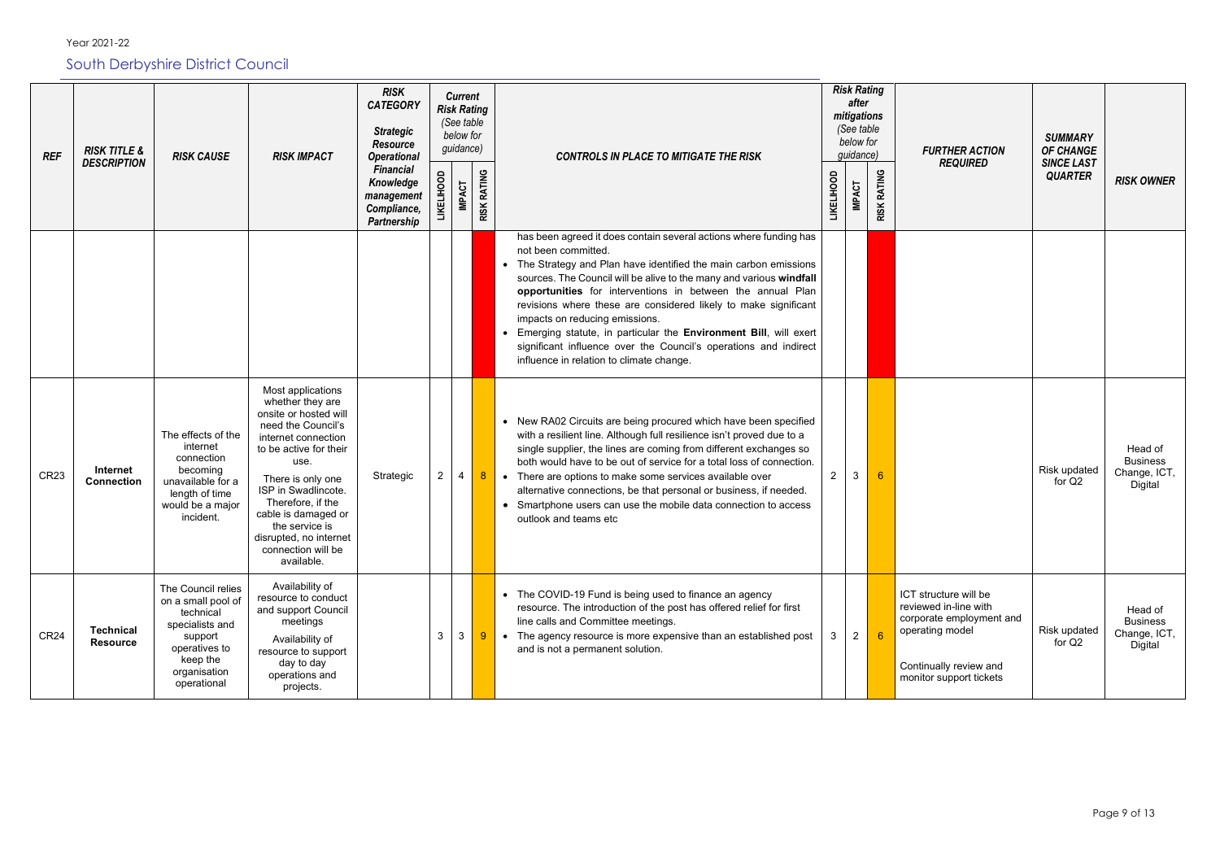| <b>REF</b>       | <b>RISK TITLE &amp;</b><br><b>DESCRIPTION</b> | <b>RISK CAUSE</b>                                                                                                                               | <b>RISK IMPACT</b>                                                                                                                                                                                                                                                                                                    | <b>RISK</b><br><b>CATEGORY</b><br><b>Strategic</b><br><b>Resource</b><br><b>Operational</b> | guidance)    |                | <b>Current</b><br><b>Risk Rating</b><br>(See table<br>below for | <b>CONTROLS IN PLACE TO MITIGATE THE RISK</b>                                                                                                                                                                                                                                                                                                                                                                                                                                                                                                                                               |                   | <b>Risk Rating</b><br>after<br>mitigations<br>(See table<br>below for<br>guidance) |                    | <b>FURTHER ACTION</b><br><b>REQUIRED</b>                                                                                                           | <b>SUMMARY</b><br><b>OF CHANGE</b><br><b>SINCE LAST</b> |                                                       |
|------------------|-----------------------------------------------|-------------------------------------------------------------------------------------------------------------------------------------------------|-----------------------------------------------------------------------------------------------------------------------------------------------------------------------------------------------------------------------------------------------------------------------------------------------------------------------|---------------------------------------------------------------------------------------------|--------------|----------------|-----------------------------------------------------------------|---------------------------------------------------------------------------------------------------------------------------------------------------------------------------------------------------------------------------------------------------------------------------------------------------------------------------------------------------------------------------------------------------------------------------------------------------------------------------------------------------------------------------------------------------------------------------------------------|-------------------|------------------------------------------------------------------------------------|--------------------|----------------------------------------------------------------------------------------------------------------------------------------------------|---------------------------------------------------------|-------------------------------------------------------|
|                  |                                               |                                                                                                                                                 |                                                                                                                                                                                                                                                                                                                       | <b>Financial</b><br>Knowledge<br>management<br>Compliance,<br><b>Partnership</b>            |              | <b>IMPACT</b>  | <b>RISK RATING</b>                                              |                                                                                                                                                                                                                                                                                                                                                                                                                                                                                                                                                                                             | <b>LIKELIHOOD</b> | <b>IMPACT</b>                                                                      | <b>RISK RATING</b> |                                                                                                                                                    | <b>QUARTER</b>                                          | <b>RISK OWNER</b>                                     |
|                  |                                               |                                                                                                                                                 |                                                                                                                                                                                                                                                                                                                       |                                                                                             |              |                |                                                                 | has been agreed it does contain several actions where funding has<br>not been committed.<br>• The Strategy and Plan have identified the main carbon emissions<br>sources. The Council will be alive to the many and various windfall<br>opportunities for interventions in between the annual Plan<br>revisions where these are considered likely to make significant<br>impacts on reducing emissions.<br>Emerging statute, in particular the Environment Bill, will exert<br>significant influence over the Council's operations and indirect<br>influence in relation to climate change. |                   |                                                                                    |                    |                                                                                                                                                    |                                                         |                                                       |
| <b>CR23</b>      | Internet<br><b>Connection</b>                 | The effects of the<br>internet<br>connection<br>becoming<br>unavailable for a<br>length of time<br>would be a major<br>incident.                | Most applications<br>whether they are<br>onsite or hosted will<br>need the Council's<br>internet connection<br>to be active for their<br>use.<br>There is only one<br>ISP in Swadlincote.<br>Therefore, if the<br>cable is damaged or<br>the service is<br>disrupted, no internet<br>connection will be<br>available. | Strategic                                                                                   | $\mathbf{2}$ | $\overline{4}$ | 8 <sub>1</sub>                                                  | • New RA02 Circuits are being procured which have been specified<br>with a resilient line. Although full resilience isn't proved due to a<br>single supplier, the lines are coming from different exchanges so<br>both would have to be out of service for a total loss of connection.<br>There are options to make some services available over<br>$\bullet$<br>alternative connections, be that personal or business, if needed.<br>• Smartphone users can use the mobile data connection to access<br>outlook and teams etc                                                              | $\overline{2}$    | 3                                                                                  | 6                  |                                                                                                                                                    | <b>Risk updated</b><br>for Q <sub>2</sub>               | Head of<br><b>Business</b><br>Change, ICT,<br>Digital |
| CR <sub>24</sub> | <b>Technical</b><br><b>Resource</b>           | The Council relies<br>on a small pool of<br>technical<br>specialists and<br>support<br>operatives to<br>keep the<br>organisation<br>operational | Availability of<br>resource to conduct<br>and support Council<br>meetings<br>Availability of<br>resource to support<br>day to day<br>operations and<br>projects.                                                                                                                                                      |                                                                                             | 3            | $\mathbf{3}$   | 9                                                               | • The COVID-19 Fund is being used to finance an agency<br>resource. The introduction of the post has offered relief for first<br>line calls and Committee meetings.<br>The agency resource is more expensive than an established post<br>$\bullet$<br>and is not a permanent solution.                                                                                                                                                                                                                                                                                                      | 3                 | $\overline{2}$                                                                     | 6 <sup>°</sup>     | ICT structure will be<br>reviewed in-line with<br>corporate employment and<br>operating model<br>Continually review and<br>monitor support tickets | <b>Risk updated</b><br>for Q <sub>2</sub>               | Head of<br><b>Business</b><br>Change, ICT,<br>Digital |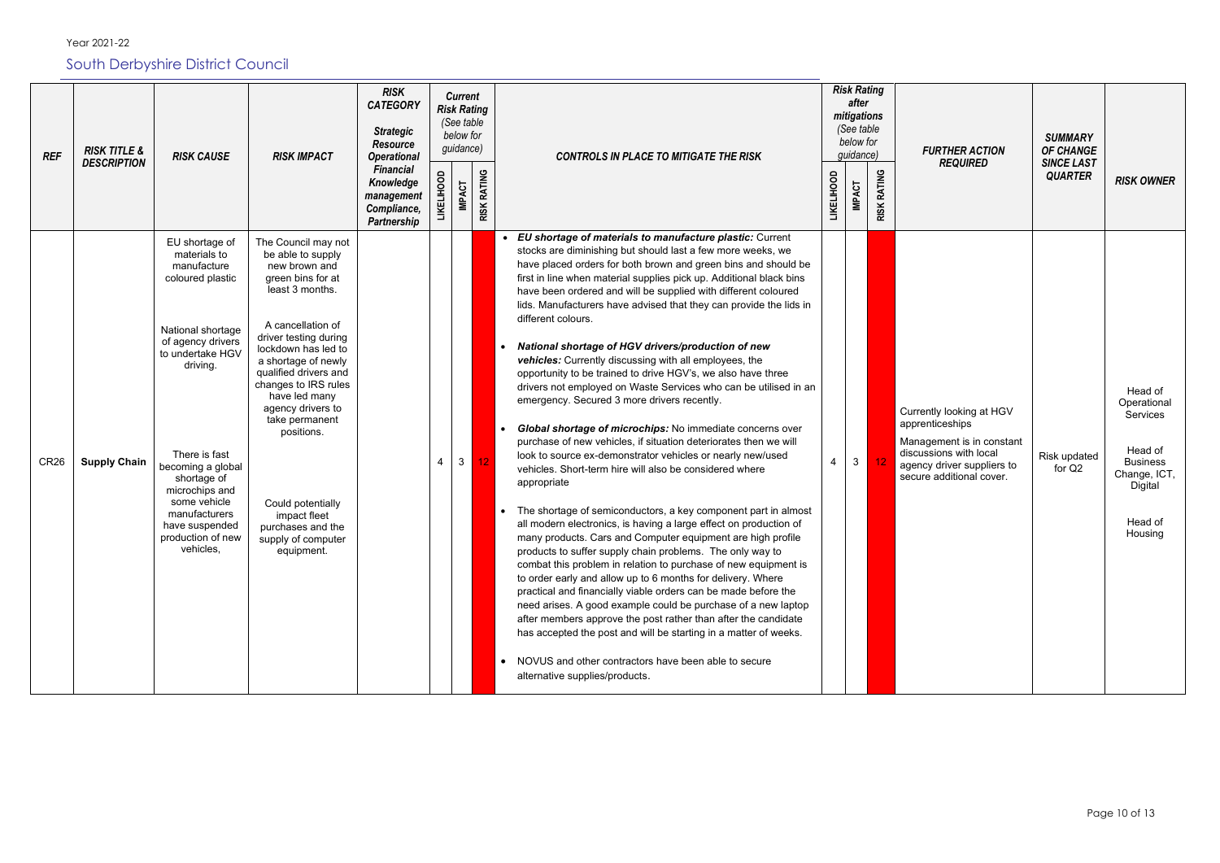| <b>REF</b>       | <b>RISK TITLE &amp;</b><br><b>DESCRIPTION</b> | <b>RISK CAUSE</b>                                                                                                                                                                                                                                                                                       | <b>RISK IMPACT</b>                                                                                                                                                                                                                                                                                                                                                                                                 | <b>RISK</b><br><b>CATEGORY</b><br><b>Strategic</b><br><b>Resource</b><br><b>Operational</b><br><b>Financial</b><br>Knowledge<br>management<br>Compliance,<br>Partnership | <b>Current</b><br><b>Risk Rating</b><br>(See table<br>below for<br>guidance) |                |                    | <b>CONTROLS IN PLACE TO MITIGATE THE RISK</b>                                                                                                                                                                                                                                                                                                                                                                                                                                                                                                                                                                                                                                                                                                                                                                                                                                                                                                                                                                                                                                                                                                                                                                                                                                                                                                                                                                                                                                                                                                                                                                                                                                                                                                                                                                               |                   | <b>Risk Rating</b><br>after<br>mitigations<br>(See table<br>below for<br>guidance) |                              | <b>FURTHER ACTION</b><br><b>REQUIRED</b>                                                                                                                     | <b>SUMMARY</b><br><b>OF CHANGE</b><br><b>SINCE LAST</b> |                                                                                                                   |
|------------------|-----------------------------------------------|---------------------------------------------------------------------------------------------------------------------------------------------------------------------------------------------------------------------------------------------------------------------------------------------------------|--------------------------------------------------------------------------------------------------------------------------------------------------------------------------------------------------------------------------------------------------------------------------------------------------------------------------------------------------------------------------------------------------------------------|--------------------------------------------------------------------------------------------------------------------------------------------------------------------------|------------------------------------------------------------------------------|----------------|--------------------|-----------------------------------------------------------------------------------------------------------------------------------------------------------------------------------------------------------------------------------------------------------------------------------------------------------------------------------------------------------------------------------------------------------------------------------------------------------------------------------------------------------------------------------------------------------------------------------------------------------------------------------------------------------------------------------------------------------------------------------------------------------------------------------------------------------------------------------------------------------------------------------------------------------------------------------------------------------------------------------------------------------------------------------------------------------------------------------------------------------------------------------------------------------------------------------------------------------------------------------------------------------------------------------------------------------------------------------------------------------------------------------------------------------------------------------------------------------------------------------------------------------------------------------------------------------------------------------------------------------------------------------------------------------------------------------------------------------------------------------------------------------------------------------------------------------------------------|-------------------|------------------------------------------------------------------------------------|------------------------------|--------------------------------------------------------------------------------------------------------------------------------------------------------------|---------------------------------------------------------|-------------------------------------------------------------------------------------------------------------------|
|                  |                                               |                                                                                                                                                                                                                                                                                                         |                                                                                                                                                                                                                                                                                                                                                                                                                    |                                                                                                                                                                          |                                                                              | <b>IMPACT</b>  | <b>RISK RATING</b> |                                                                                                                                                                                                                                                                                                                                                                                                                                                                                                                                                                                                                                                                                                                                                                                                                                                                                                                                                                                                                                                                                                                                                                                                                                                                                                                                                                                                                                                                                                                                                                                                                                                                                                                                                                                                                             | <b>LIKELIHOOD</b> | <b>IMPACT</b>                                                                      | <b>RATING</b><br><b>RISK</b> |                                                                                                                                                              | <b>QUARTER</b>                                          | <b>RISK OWNER</b>                                                                                                 |
| CR <sub>26</sub> | <b>Supply Chain</b>                           | EU shortage of<br>materials to<br>manufacture<br>coloured plastic<br>National shortage<br>of agency drivers<br>to undertake HGV<br>driving.<br>There is fast<br>becoming a global<br>shortage of<br>microchips and<br>some vehicle<br>manufacturers<br>have suspended<br>production of new<br>vehicles, | The Council may not<br>be able to supply<br>new brown and<br>green bins for at<br>least 3 months.<br>A cancellation of<br>driver testing during<br>lockdown has led to<br>a shortage of newly<br>qualified drivers and<br>changes to IRS rules<br>have led many<br>agency drivers to<br>take permanent<br>positions.<br>Could potentially<br>impact fleet<br>purchases and the<br>supply of computer<br>equipment. |                                                                                                                                                                          |                                                                              | 3 <sup>1</sup> | 12                 | EU shortage of materials to manufacture plastic: Current<br>stocks are diminishing but should last a few more weeks, we<br>have placed orders for both brown and green bins and should be<br>first in line when material supplies pick up. Additional black bins<br>have been ordered and will be supplied with different coloured<br>lids. Manufacturers have advised that they can provide the lids in<br>different colours.<br>National shortage of HGV drivers/production of new<br>$\bullet$<br>vehicles: Currently discussing with all employees, the<br>opportunity to be trained to drive HGV's, we also have three<br>drivers not employed on Waste Services who can be utilised in an<br>emergency. Secured 3 more drivers recently.<br>Global shortage of microchips: No immediate concerns over<br>$\bullet$<br>purchase of new vehicles, if situation deteriorates then we will<br>look to source ex-demonstrator vehicles or nearly new/used<br>vehicles. Short-term hire will also be considered where<br>appropriate<br>The shortage of semiconductors, a key component part in almost<br>$\bullet$<br>all modern electronics, is having a large effect on production of<br>many products. Cars and Computer equipment are high profile<br>products to suffer supply chain problems. The only way to<br>combat this problem in relation to purchase of new equipment is<br>to order early and allow up to 6 months for delivery. Where<br>practical and financially viable orders can be made before the<br>need arises. A good example could be purchase of a new laptop<br>after members approve the post rather than after the candidate<br>has accepted the post and will be starting in a matter of weeks.<br>• NOVUS and other contractors have been able to secure<br>alternative supplies/products. | 4                 | 3 <sup>1</sup>                                                                     | 12                           | Currently looking at HGV<br>apprenticeships<br>Management is in constant<br>discussions with local<br>agency driver suppliers to<br>secure additional cover. | Risk updated<br>for Q2                                  | Head of<br>Operational<br>Services<br>Head of<br><b>Business</b><br>Change, ICT,<br>Digital<br>Head of<br>Housing |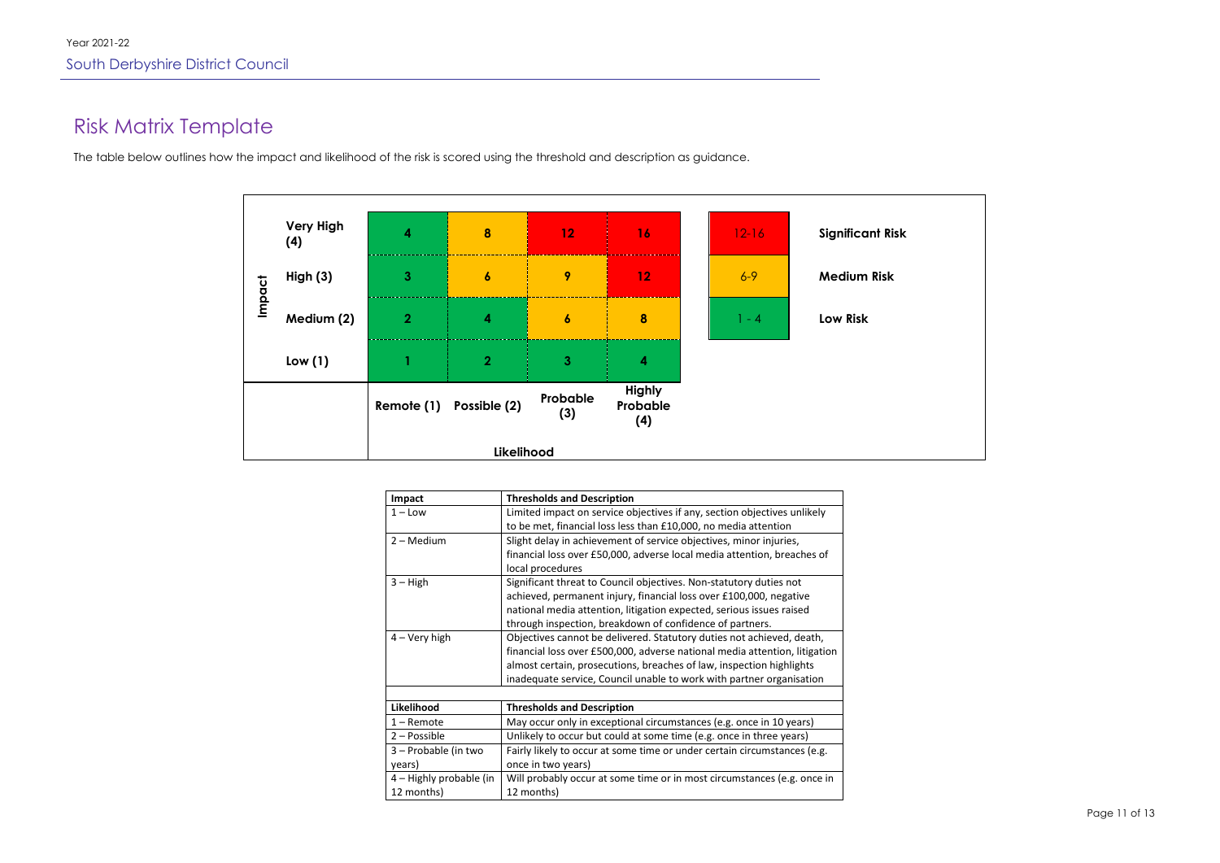Page 11 of 13

## Risk Matrix Template

The table below outlines how the impact and likelihood of the risk is scored using the threshold and description as guidance.

|        |                         |                         | Likelihood           |                         |                                  |         |                         |
|--------|-------------------------|-------------------------|----------------------|-------------------------|----------------------------------|---------|-------------------------|
|        |                         | Remote (1)              | Possible (2)         | Probable<br>(3)         | <b>Highly</b><br>Probable<br>(4) |         |                         |
|        | Low(1)                  |                         | $\overline{2}$       | $\overline{\mathbf{3}}$ | 4                                |         |                         |
| Impact | Medium (2)              | $\overline{2}$          | $\blacktriangleleft$ | $\boldsymbol{6}$        | 8                                | $1 - 4$ | <b>Low Risk</b>         |
|        | High (3)                | $\mathbf{3}$            | $\boldsymbol{6}$     | 9                       | 12                               | $6 - 9$ | <b>Medium Risk</b>      |
|        | <b>Very High</b><br>(4) | $\overline{\mathbf{4}}$ | $\boldsymbol{8}$     | 12                      | 16                               | $12-16$ | <b>Significant Risk</b> |

| Limited impact on service objectives if any, section objectives unlikely   |
|----------------------------------------------------------------------------|
| to be met, financial loss less than £10,000, no media attention            |
| Slight delay in achievement of service objectives, minor injuries,         |
| financial loss over £50,000, adverse local media attention, breaches of    |
| local procedures                                                           |
| Significant threat to Council objectives. Non-statutory duties not         |
| achieved, permanent injury, financial loss over £100,000, negative         |
| national media attention, litigation expected, serious issues raised       |
| through inspection, breakdown of confidence of partners.                   |
| Objectives cannot be delivered. Statutory duties not achieved, death,      |
| financial loss over £500,000, adverse national media attention, litigation |
| almost certain, prosecutions, breaches of law, inspection highlights       |
| inadequate service, Council unable to work with partner organisation       |
|                                                                            |
| <b>Thresholds and Description</b>                                          |
| May occur only in exceptional circumstances (e.g. once in 10 years)        |
| Unlikely to occur but could at some time (e.g. once in three years)        |
| Fairly likely to occur at some time or under certain circumstances (e.g.   |
| once in two years)                                                         |
| Will probably occur at some time or in most circumstances (e.g. once in    |
| 12 months)                                                                 |
|                                                                            |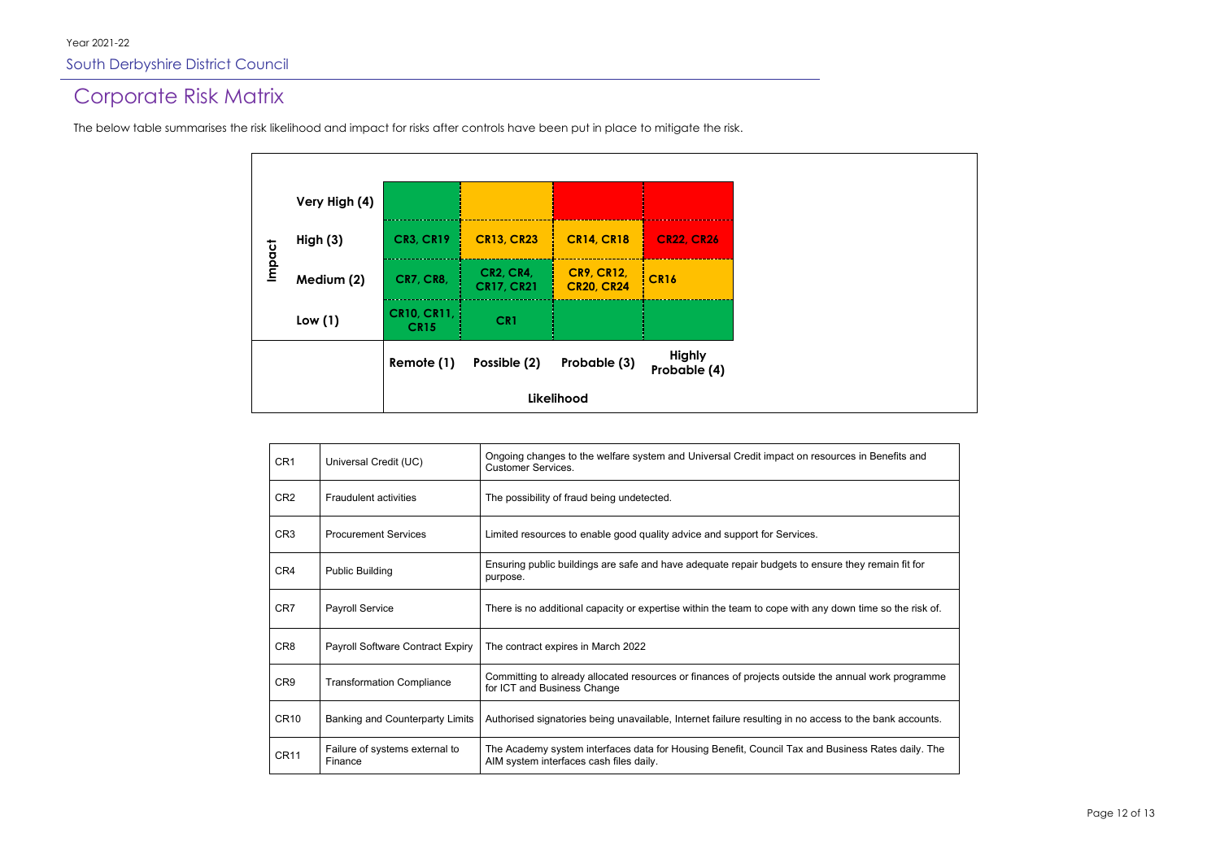### Corporate Risk Matrix

The below table summarises the risk likelihood and impact for risks after controls have been put in place to mitigate the risk.

|            | Very High (4) |                                   |                                       |                                        |                               |  |
|------------|---------------|-----------------------------------|---------------------------------------|----------------------------------------|-------------------------------|--|
|            | High $(3)$    | <b>CR3, CR19</b>                  | <b>CR13, CR23</b>                     | <b>CR14, CR18</b>                      | <b>CR22, CR26</b>             |  |
| Impact     | Medium (2)    | <b>CR7, CR8,</b>                  | <b>CR2, CR4,</b><br><b>CR17, CR21</b> | <b>CR9, CR12,</b><br><b>CR20, CR24</b> | <b>CR16</b>                   |  |
|            | Low(1)        | <b>CR10, CR11,</b><br><b>CR15</b> | CR1                                   |                                        |                               |  |
|            |               | Remote (1)                        | Possible (2)                          | Probable (3)                           | <b>Highly</b><br>Probable (4) |  |
| Likelihood |               |                                   |                                       |                                        |                               |  |

| CR <sub>1</sub> | Universal Credit (UC)                     | Ongoing changes to the welfare system and Universal Credit impact on resources in Benefits and<br><b>Customer Services.</b>                  |
|-----------------|-------------------------------------------|----------------------------------------------------------------------------------------------------------------------------------------------|
| CR <sub>2</sub> | <b>Fraudulent activities</b>              | The possibility of fraud being undetected.                                                                                                   |
| CR <sub>3</sub> | <b>Procurement Services</b>               | Limited resources to enable good quality advice and support for Services.                                                                    |
| CR4             | <b>Public Building</b>                    | Ensuring public buildings are safe and have adequate repair budgets to ensure they remain fit for<br>purpose.                                |
| CR7             | <b>Payroll Service</b>                    | There is no additional capacity or expertise within the team to cope with any down time so the risk of.                                      |
| CR <sub>8</sub> | Payroll Software Contract Expiry          | The contract expires in March 2022                                                                                                           |
| CR <sub>9</sub> | <b>Transformation Compliance</b>          | Committing to already allocated resources or finances of projects outside the annual work programme<br>for ICT and Business Change           |
| <b>CR10</b>     | <b>Banking and Counterparty Limits</b>    | Authorised signatories being unavailable, Internet failure resulting in no access to the bank accounts.                                      |
| <b>CR11</b>     | Failure of systems external to<br>Finance | The Academy system interfaces data for Housing Benefit, Council Tax and Business Rates daily. The<br>AIM system interfaces cash files daily. |